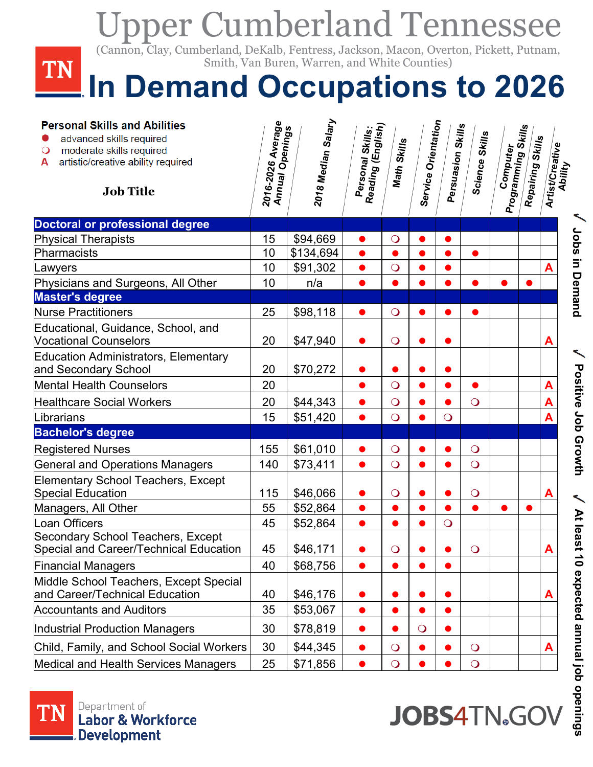## Upper Cumberland Tennessee , DeKalb, Fentress, Jackson, Mac<br>Van Buren, Warren, and White C (Cannon, Clay, Cumberland, DeKalb, Fentress, Jackson, Macon, Overton, Pickett, Putnam, Smith, Van Buren, Warren, and White Counties)**TN In Demand Occupations to 2026**

| <b>Personal Skills and Abilities</b><br>advanced skills required<br>moderate skills required<br>artistic/creative ability required<br>А<br><b>Job Title</b> | 2016-2026 Average<br>Annual Openings | 2018 Median Salary | Reading (English)<br>Personal Skills: | <b>Math Skills</b> | Service Orientation | Persuasion Skills | Science Skills      | Computer<br>Programming Skills | Repairing Skills | Artist/Creative<br>Ability |                                 |
|-------------------------------------------------------------------------------------------------------------------------------------------------------------|--------------------------------------|--------------------|---------------------------------------|--------------------|---------------------|-------------------|---------------------|--------------------------------|------------------|----------------------------|---------------------------------|
| <b>Doctoral or professional degree</b>                                                                                                                      |                                      |                    |                                       |                    |                     |                   |                     |                                |                  |                            |                                 |
| <b>Physical Therapists</b>                                                                                                                                  | 15                                   | \$94,669           | $\bullet$                             | $\bigcirc$         | $\bullet$           |                   |                     |                                |                  |                            |                                 |
| Pharmacists                                                                                                                                                 | 10                                   | \$134,694          | $\bullet$                             |                    |                     |                   |                     |                                |                  |                            | Jobs in Demand                  |
| Lawyers                                                                                                                                                     | 10                                   | \$91,302           | $\bullet$                             | $\overline{O}$     | $\bullet$           |                   |                     |                                |                  | A                          |                                 |
| Physicians and Surgeons, All Other                                                                                                                          | 10                                   | n/a                |                                       |                    |                     |                   |                     |                                |                  |                            |                                 |
| <b>Master's degree</b>                                                                                                                                      |                                      |                    |                                       |                    |                     |                   |                     |                                |                  |                            |                                 |
| <b>Nurse Practitioners</b>                                                                                                                                  | 25                                   | \$98,118           |                                       | $\bigcirc$         |                     |                   |                     |                                |                  |                            |                                 |
| Educational, Guidance, School, and<br><b>Vocational Counselors</b>                                                                                          | 20                                   | \$47,940           |                                       | $\bigcirc$         |                     |                   |                     |                                |                  | A                          |                                 |
| <b>Education Administrators, Elementary</b><br>and Secondary School                                                                                         | 20                                   | \$70,272           |                                       |                    |                     |                   |                     |                                |                  |                            |                                 |
| <b>Mental Health Counselors</b>                                                                                                                             | 20                                   |                    | $\bullet$                             | $\overline{O}$     |                     |                   | $\bullet$           |                                |                  | A                          |                                 |
| <b>Healthcare Social Workers</b>                                                                                                                            | 20                                   | \$44,343           | $\bullet$                             | $\overline{O}$     |                     |                   | $\overline{O}$      |                                |                  |                            |                                 |
| Librarians                                                                                                                                                  | 15                                   | \$51,420           | $\bullet$                             | $\overline{O}$     |                     | $\overline{O}$    |                     |                                |                  |                            |                                 |
| <b>Bachelor's degree</b>                                                                                                                                    |                                      |                    |                                       |                    |                     |                   |                     |                                |                  |                            |                                 |
| <b>Registered Nurses</b>                                                                                                                                    | 155                                  | \$61,010           | $\bullet$                             | $\bigcirc$         | $\bullet$           |                   | $\bigcirc$          |                                |                  |                            | <b>Positive Job Growth</b>      |
| <b>General and Operations Managers</b>                                                                                                                      | 140                                  | \$73,411           | $\bullet$                             | $\bigcirc$         | $\bullet$           |                   | $\overline{O}$      |                                |                  |                            |                                 |
| <b>Elementary School Teachers, Except</b><br>Special Education                                                                                              | 115                                  | \$46,066           | $\bullet$                             | $\bigcirc$         |                     |                   | $\overline{O}$      |                                |                  | Α                          |                                 |
| Managers, All Other                                                                                                                                         | 55                                   | \$52,864           | $\bullet$                             |                    | $\bullet$           |                   |                     | $\bullet$                      |                  |                            |                                 |
| Loan Officers                                                                                                                                               | 45                                   | \$52,864           | $\bullet$                             |                    | $\bullet$           | $\overline{O}$    |                     |                                |                  |                            |                                 |
| Secondary School Teachers, Except<br>Special and Career/Technical Education                                                                                 | 45                                   | \$46,171           |                                       | $\bigcirc$         |                     |                   | $\bigcirc$          |                                |                  | A                          | At least                        |
| <b>Financial Managers</b>                                                                                                                                   | 40                                   | \$68,756           |                                       |                    |                     |                   |                     |                                |                  |                            |                                 |
| Middle School Teachers, Except Special<br>and Career/Technical Education                                                                                    | 40                                   | \$46,176           |                                       |                    |                     |                   |                     |                                |                  | Α                          |                                 |
| <b>Accountants and Auditors</b>                                                                                                                             | 35                                   | \$53,067           | $\bullet$                             |                    |                     |                   |                     |                                |                  |                            |                                 |
| Industrial Production Managers                                                                                                                              | 30                                   | \$78,819           |                                       |                    | $\overline{O}$      |                   |                     |                                |                  |                            |                                 |
| Child, Family, and School Social Workers                                                                                                                    | 30                                   | \$44,345           | $\bullet$                             | $\mathbf{O}$       |                     |                   | $\bigcirc$          |                                |                  | A                          |                                 |
| <b>Medical and Health Services Managers</b>                                                                                                                 | 25                                   | \$71,856           | $\bullet$                             | $\overline{O}$     |                     |                   | $\overline{O}$      |                                |                  |                            |                                 |
| Department of<br>TN<br><b>Labor &amp; Workforce</b><br><b>Development</b>                                                                                   |                                      |                    |                                       |                    |                     |                   | <b>JOBS4TN</b> 。GOV |                                |                  |                            | 10 expected annual job openings |



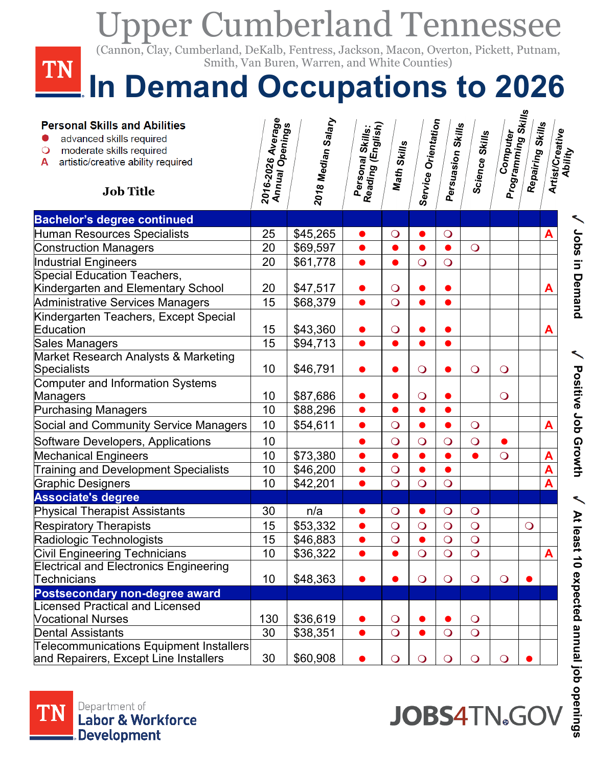| <b>Upper Cumberland Tennessee</b>                                                                                                                                      |                                      |                                               |                                       |                              |                     |                   |                       |                                |                  |   |                             |
|------------------------------------------------------------------------------------------------------------------------------------------------------------------------|--------------------------------------|-----------------------------------------------|---------------------------------------|------------------------------|---------------------|-------------------|-----------------------|--------------------------------|------------------|---|-----------------------------|
| (Cannon, Clay, Cumberland, DeKalb, Fentress, Jackson, Macon, Overton, Pickett, Putnam,<br>TN                                                                           |                                      | Smith, Van Buren, Warren, and White Counties) |                                       |                              |                     |                   |                       |                                |                  |   |                             |
| In Demand Occupations to 2026                                                                                                                                          |                                      |                                               |                                       |                              |                     |                   |                       |                                |                  |   |                             |
| <b>Personal Skills and Abilities</b><br>advanced skills required<br>moderate skills required<br>$\circ$<br>artistic/creative ability required<br>А<br><b>Job Title</b> | 2016-2026 Average<br>Annual Openings | 2018 Median Salary                            | Personal Skills:<br>Reading (English) | <b>Math Skills</b>           | Service Orientation | Persuasion Skills | <b>Science Skills</b> | Computer<br>Programming Skills | Repairing Skills |   | Artist/Creative<br>Ability  |
| <b>Bachelor's degree continued</b>                                                                                                                                     |                                      |                                               |                                       |                              |                     |                   |                       |                                |                  |   |                             |
| Human Resources Specialists                                                                                                                                            | 25                                   | \$45,265                                      |                                       | $\bigcirc$                   |                     | $\bigcirc$        |                       |                                |                  | A | Jobs in Demand              |
| <b>Construction Managers</b>                                                                                                                                           | 20                                   | \$69,597                                      | $\bullet$                             | $\bullet$                    |                     |                   | $\overline{O}$        |                                |                  |   |                             |
| Industrial Engineers<br><b>Special Education Teachers,</b>                                                                                                             | 20                                   | \$61,778                                      | $\bullet$                             | $\bullet$                    | $\overline{O}$      | $\bigcirc$        |                       |                                |                  |   |                             |
| Kindergarten and Elementary School                                                                                                                                     | 20                                   | \$47,517                                      |                                       | $\overline{O}$               |                     |                   |                       |                                |                  | A |                             |
| Administrative Services Managers                                                                                                                                       | 15                                   | \$68,379                                      | $\bullet$                             | $\overline{O}$               |                     |                   |                       |                                |                  |   |                             |
| Kindergarten Teachers, Except Special                                                                                                                                  |                                      |                                               |                                       |                              |                     |                   |                       |                                |                  |   |                             |
| Education                                                                                                                                                              | 15                                   | \$43,360                                      | $\bullet$                             | $\bigcirc$                   |                     |                   |                       |                                |                  | A |                             |
| Sales Managers                                                                                                                                                         | 15                                   | \$94,713                                      | $\bullet$                             | $\bullet$                    |                     |                   |                       |                                |                  |   |                             |
| Market Research Analysts & Marketing                                                                                                                                   |                                      |                                               |                                       |                              |                     |                   |                       |                                |                  |   |                             |
| <b>Specialists</b>                                                                                                                                                     | 10                                   | \$46,791                                      |                                       |                              | $\bigcirc$          |                   | $\bigcirc$            | $\overline{O}$                 |                  |   |                             |
| Computer and Information Systems                                                                                                                                       |                                      |                                               |                                       |                              |                     |                   |                       |                                |                  |   |                             |
| Managers                                                                                                                                                               | 10                                   | \$87,686                                      |                                       |                              | $\bigcirc$          |                   |                       | $\overline{O}$                 |                  |   |                             |
| <b>Purchasing Managers</b>                                                                                                                                             | 10                                   | \$88,296                                      | $\bullet$                             | ●                            |                     |                   |                       |                                |                  |   |                             |
| Social and Community Service Managers                                                                                                                                  | 10                                   | \$54,611                                      | $\bullet$                             | $\overline{O}$               |                     |                   | $\circ$               |                                |                  | A |                             |
| Software Developers, Applications                                                                                                                                      | 10                                   |                                               |                                       | $\overline{O}$               | $\overline{O}$      | $\bigcirc$        | $\overline{O}$        |                                |                  |   |                             |
| <b>Mechanical Engineers</b>                                                                                                                                            | 10                                   | \$73,380                                      |                                       |                              |                     |                   |                       | $\overline{O}$                 |                  | A |                             |
| <b>Training and Development Specialists</b>                                                                                                                            | 10                                   | \$46,200                                      |                                       | $\bigcirc$                   |                     |                   |                       |                                |                  | A | <b>Positive Lob Growth</b>  |
| <b>Graphic Designers</b>                                                                                                                                               | 10                                   | \$42,201                                      | $\bullet$                             | $\overline{O}$               | $\overline{O}$      | $\overline{O}$    |                       |                                |                  | A |                             |
| <b>Associate's degree</b>                                                                                                                                              |                                      |                                               |                                       |                              |                     |                   |                       |                                |                  |   | ↖                           |
| <b>Physical Therapist Assistants</b>                                                                                                                                   | 30                                   | n/a                                           |                                       | $\overline{O}$               |                     | $\bigcirc$        | $\overline{O}$        |                                |                  |   |                             |
| <b>Respiratory Therapists</b>                                                                                                                                          | 15                                   | \$53,332                                      |                                       | $\bigcirc$                   | $\bigcirc$          | $\bigcirc$        | $\bigcirc$            |                                | $\bigcirc$       |   |                             |
| Radiologic Technologists                                                                                                                                               | 15                                   | \$46,883                                      | $\bullet$                             | $\overline{O}$               |                     | $\overline{O}$    | $\bigcirc$            |                                |                  |   |                             |
| <b>Civil Engineering Technicians</b>                                                                                                                                   | 10                                   | \$36,322                                      | $\bullet$                             |                              | $\overline{O}$      | $\overline{O}$    | $\overline{O}$        |                                |                  | A |                             |
| <b>Electrical and Electronics Engineering</b>                                                                                                                          |                                      |                                               |                                       |                              |                     |                   |                       |                                |                  |   |                             |
| Technicians                                                                                                                                                            | 10                                   | \$48,363                                      |                                       |                              | $\overline{O}$      | $\bigcirc$        | $\bigcirc$            | $\overline{O}$                 |                  |   |                             |
| Postsecondary non-degree award                                                                                                                                         |                                      |                                               |                                       |                              |                     |                   |                       |                                |                  |   |                             |
| <b>Licensed Practical and Licensed</b><br><b>Vocational Nurses</b>                                                                                                     | 130                                  |                                               |                                       |                              |                     |                   | $\overline{O}$        |                                |                  |   |                             |
| <b>Dental Assistants</b>                                                                                                                                               | 30                                   | \$36,619<br>\$38,351                          | $\bullet$                             | $\bigcirc$<br>$\overline{O}$ |                     | $\overline{O}$    | $\overline{O}$        |                                |                  |   |                             |
| <b>Telecommunications Equipment Installers</b>                                                                                                                         |                                      |                                               |                                       |                              |                     |                   |                       |                                |                  |   | At least 10 expected annual |
| and Repairers, Except Line Installers                                                                                                                                  | 30                                   | \$60,908                                      |                                       | $\bigcirc$                   | $\bigcirc$          | $\bigcirc$        | $\overline{O}$        | $\overline{O}$                 |                  |   |                             |



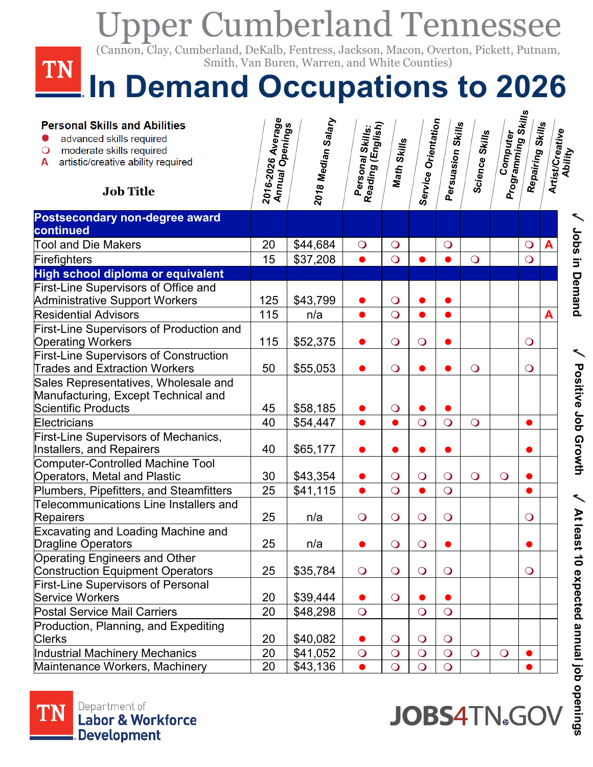| <b>Upper Cumberland Tennessee</b>                                                                                                                                      |                                        |                                               |                                       |                |                     |                   |                       |                                |                  |   |                                |
|------------------------------------------------------------------------------------------------------------------------------------------------------------------------|----------------------------------------|-----------------------------------------------|---------------------------------------|----------------|---------------------|-------------------|-----------------------|--------------------------------|------------------|---|--------------------------------|
| (Cannon, Clay, Cumberland, DeKalb, Fentress, Jackson, Macon, Overton, Pickett, Putnam,<br>TN                                                                           |                                        | Smith, Van Buren, Warren, and White Counties) |                                       |                |                     |                   |                       |                                |                  |   |                                |
| In Demand Occupations to 2026                                                                                                                                          |                                        |                                               |                                       |                |                     |                   |                       |                                |                  |   |                                |
| <b>Personal Skills and Abilities</b><br>advanced skills required<br>moderate skills required<br>$\circ$<br>artistic/creative ability required<br>A<br><b>Job Title</b> | 2016-2026 Average<br>  Annual Openings | 2018 Median Salary                            | Personal Skills:<br>Reading (English) | Math Skills    | Service Orientation | Persuasion Skills | <b>Science Skills</b> | Computer<br>Programming Skills | Repairing Skills |   | Artist/Creative<br>Ability     |
| Postsecondary non-degree award<br>continued                                                                                                                            |                                        |                                               |                                       |                |                     |                   |                       |                                |                  |   |                                |
| <b>Tool and Die Makers</b>                                                                                                                                             | 20                                     | \$44,684                                      | $\bigcirc$                            | $\bigcirc$     |                     | $\bigcirc$        |                       |                                | $\bigcirc$       | A |                                |
| Firefighters                                                                                                                                                           | 15                                     | \$37,208                                      |                                       | $\overline{O}$ |                     |                   | $\overline{O}$        |                                | $\overline{O}$   |   |                                |
| High school diploma or equivalent                                                                                                                                      |                                        |                                               |                                       |                |                     |                   |                       |                                |                  |   |                                |
| First-Line Supervisors of Office and<br><b>Administrative Support Workers</b>                                                                                          | 125                                    | \$43,799                                      |                                       | $\bigcirc$     |                     |                   |                       |                                |                  |   | Jobs in Demand                 |
| <b>Residential Advisors</b>                                                                                                                                            | 115                                    | n/a                                           |                                       | $\overline{O}$ |                     | $\bullet$         |                       |                                |                  | A |                                |
| First-Line Supervisors of Production and                                                                                                                               |                                        |                                               |                                       |                |                     |                   |                       |                                |                  |   |                                |
| <b>Operating Workers</b>                                                                                                                                               | 115                                    | \$52,375                                      |                                       | $\bigcirc$     | $\overline{O}$      |                   |                       |                                | $\bigcirc$       |   |                                |
| <b>First-Line Supervisors of Construction</b><br><b>Trades and Extraction Workers</b>                                                                                  | 50                                     | \$55,053                                      |                                       | $\overline{O}$ |                     |                   | $\overline{O}$        |                                | $\overline{O}$   |   |                                |
| Sales Representatives, Wholesale and<br>Manufacturing, Except Technical and<br>Scientific Products                                                                     | 45                                     | \$58,185                                      |                                       | $\bigcirc$     |                     |                   |                       |                                |                  |   | V Positive Job G               |
| Electricians                                                                                                                                                           | 40                                     | \$54,447                                      |                                       |                | $\overline{O}$      | $\overline{O}$    | $\bigcirc$            |                                |                  |   |                                |
| First-Line Supervisors of Mechanics,<br>Installers, and Repairers                                                                                                      | 40                                     | \$65,177                                      |                                       |                |                     |                   |                       |                                |                  |   |                                |
| Computer-Controlled Machine Tool<br>Operators, Metal and Plastic                                                                                                       | 30                                     | \$43,354                                      |                                       | $\bigcirc$     | $\bigcirc$          | $\bigcirc$        | $\overline{O}$        | $\bigcirc$                     |                  |   | rowth                          |
| Plumbers, Pipefitters, and Steamfitters                                                                                                                                | 25                                     | \$41,115                                      |                                       | $\overline{O}$ |                     | $\overline{O}$    |                       |                                |                  |   |                                |
| Telecommunications Line Installers and<br>Repairers                                                                                                                    | 25                                     | n/a                                           | $\overline{O}$                        | $\overline{O}$ | $\overline{O}$      | $\bigcirc$        |                       |                                | $\bigcirc$       |   |                                |
| <b>Excavating and Loading Machine and</b><br><b>Dragline Operators</b>                                                                                                 | 25                                     | n/a                                           |                                       | $\bigcirc$     | $\bigcirc$          |                   |                       |                                |                  |   |                                |
| Operating Engineers and Other<br>Construction Equipment Operators                                                                                                      | 25                                     | \$35,784                                      | $\bigcirc$                            | $\bigcirc$     | $\bigcirc$          | $\bigcirc$        |                       |                                | $\bigcirc$       |   |                                |
| <b>First-Line Supervisors of Personal</b><br>Service Workers                                                                                                           | 20                                     | \$39,444                                      |                                       | $\bigcirc$     |                     |                   |                       |                                |                  |   |                                |
| <b>Postal Service Mail Carriers</b>                                                                                                                                    | 20                                     | \$48,298                                      | $\overline{O}$                        |                | $\overline{O}$      | $\overline{O}$    |                       |                                |                  |   |                                |
| Production, Planning, and Expediting<br><b>Clerks</b>                                                                                                                  | 20                                     | \$40,082                                      |                                       | $\circ$        | $\circ$             | $\bigcirc$        |                       |                                |                  |   | At least 10 expected annual jo |
| Industrial Machinery Mechanics                                                                                                                                         | 20                                     | \$41,052                                      | $\overline{O}$                        | $\overline{O}$ | $\overline{O}$      | $\overline{O}$    | $\overline{O}$        | $\overline{O}$                 |                  |   |                                |
| Maintenance Workers, Machinery                                                                                                                                         | 20                                     | \$43,136                                      |                                       | $\overline{O}$ | $\overline{O}$      | $\overline{O}$    |                       |                                |                  |   |                                |